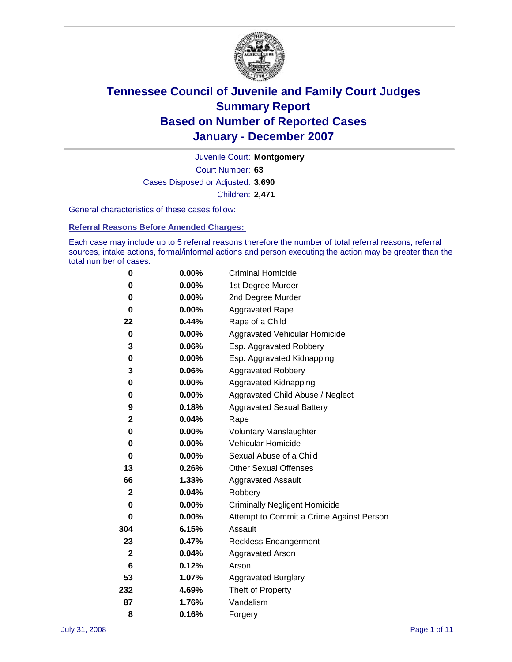

Court Number: **63** Juvenile Court: **Montgomery** Cases Disposed or Adjusted: **3,690** Children: **2,471**

General characteristics of these cases follow:

**Referral Reasons Before Amended Charges:** 

Each case may include up to 5 referral reasons therefore the number of total referral reasons, referral sources, intake actions, formal/informal actions and person executing the action may be greater than the total number of cases.

| 0            | $0.00\%$ | <b>Criminal Homicide</b>                 |  |  |  |  |
|--------------|----------|------------------------------------------|--|--|--|--|
| 0            | 0.00%    | 1st Degree Murder                        |  |  |  |  |
| 0            | $0.00\%$ | 2nd Degree Murder                        |  |  |  |  |
| 0            | 0.00%    | <b>Aggravated Rape</b>                   |  |  |  |  |
| 22           | 0.44%    | Rape of a Child                          |  |  |  |  |
| $\bf{0}$     | $0.00\%$ | Aggravated Vehicular Homicide            |  |  |  |  |
| 3            | 0.06%    | Esp. Aggravated Robbery                  |  |  |  |  |
| 0            | $0.00\%$ | Esp. Aggravated Kidnapping               |  |  |  |  |
| 3            | 0.06%    | <b>Aggravated Robbery</b>                |  |  |  |  |
| 0            | $0.00\%$ | Aggravated Kidnapping                    |  |  |  |  |
| 0            | $0.00\%$ | Aggravated Child Abuse / Neglect         |  |  |  |  |
| 9            | 0.18%    | <b>Aggravated Sexual Battery</b>         |  |  |  |  |
| 2            | 0.04%    | Rape                                     |  |  |  |  |
| 0            | 0.00%    | <b>Voluntary Manslaughter</b>            |  |  |  |  |
| 0            | 0.00%    | Vehicular Homicide                       |  |  |  |  |
| 0            | 0.00%    | Sexual Abuse of a Child                  |  |  |  |  |
| 13           | 0.26%    | <b>Other Sexual Offenses</b>             |  |  |  |  |
| 66           | 1.33%    | <b>Aggravated Assault</b>                |  |  |  |  |
| $\mathbf{2}$ | 0.04%    | Robbery                                  |  |  |  |  |
| 0            | 0.00%    | <b>Criminally Negligent Homicide</b>     |  |  |  |  |
| 0            | $0.00\%$ | Attempt to Commit a Crime Against Person |  |  |  |  |
| 304          | 6.15%    | Assault                                  |  |  |  |  |
| 23           | 0.47%    | <b>Reckless Endangerment</b>             |  |  |  |  |
| $\mathbf 2$  | 0.04%    | <b>Aggravated Arson</b>                  |  |  |  |  |
| 6            | 0.12%    | Arson                                    |  |  |  |  |
| 53           | 1.07%    | Aggravated Burglary                      |  |  |  |  |
| 232          | 4.69%    | Theft of Property                        |  |  |  |  |
| 87           | 1.76%    | Vandalism                                |  |  |  |  |
| 8            | 0.16%    | Forgery                                  |  |  |  |  |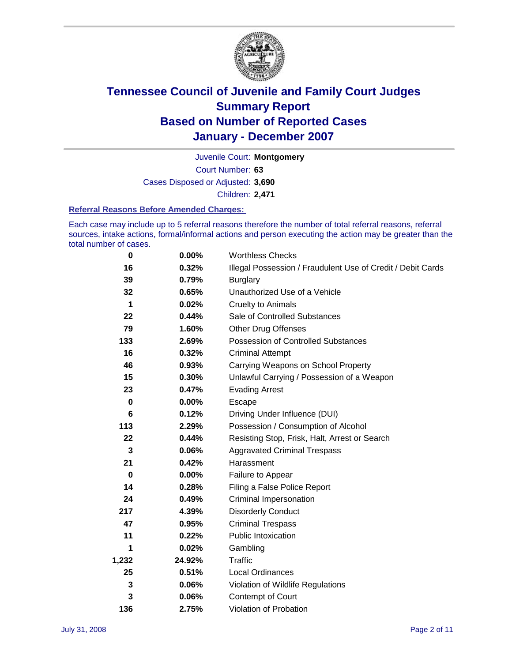

Court Number: **63** Juvenile Court: **Montgomery** Cases Disposed or Adjusted: **3,690** Children: **2,471**

#### **Referral Reasons Before Amended Charges:**

Each case may include up to 5 referral reasons therefore the number of total referral reasons, referral sources, intake actions, formal/informal actions and person executing the action may be greater than the total number of cases.

| 0        | 0.00%    | <b>Worthless Checks</b>                                     |  |  |  |
|----------|----------|-------------------------------------------------------------|--|--|--|
| 16       | 0.32%    | Illegal Possession / Fraudulent Use of Credit / Debit Cards |  |  |  |
| 39       | 0.79%    | <b>Burglary</b>                                             |  |  |  |
| 32       | 0.65%    | Unauthorized Use of a Vehicle                               |  |  |  |
| 1        | 0.02%    | <b>Cruelty to Animals</b>                                   |  |  |  |
| 22       | 0.44%    | Sale of Controlled Substances                               |  |  |  |
| 79       | 1.60%    | <b>Other Drug Offenses</b>                                  |  |  |  |
| 133      | 2.69%    | <b>Possession of Controlled Substances</b>                  |  |  |  |
| 16       | 0.32%    | <b>Criminal Attempt</b>                                     |  |  |  |
| 46       | 0.93%    | Carrying Weapons on School Property                         |  |  |  |
| 15       | 0.30%    | Unlawful Carrying / Possession of a Weapon                  |  |  |  |
| 23       | 0.47%    | <b>Evading Arrest</b>                                       |  |  |  |
| $\bf{0}$ | $0.00\%$ | Escape                                                      |  |  |  |
| 6        | 0.12%    | Driving Under Influence (DUI)                               |  |  |  |
| 113      | 2.29%    | Possession / Consumption of Alcohol                         |  |  |  |
| 22       | 0.44%    | Resisting Stop, Frisk, Halt, Arrest or Search               |  |  |  |
| 3        | 0.06%    | <b>Aggravated Criminal Trespass</b>                         |  |  |  |
| 21       | 0.42%    | Harassment                                                  |  |  |  |
| 0        | $0.00\%$ | Failure to Appear                                           |  |  |  |
| 14       | 0.28%    | Filing a False Police Report                                |  |  |  |
| 24       | 0.49%    | Criminal Impersonation                                      |  |  |  |
| 217      | 4.39%    | <b>Disorderly Conduct</b>                                   |  |  |  |
| 47       | 0.95%    | <b>Criminal Trespass</b>                                    |  |  |  |
| 11       | 0.22%    | <b>Public Intoxication</b>                                  |  |  |  |
| 1        | 0.02%    | Gambling                                                    |  |  |  |
| 1,232    | 24.92%   | <b>Traffic</b>                                              |  |  |  |
| 25       | 0.51%    | Local Ordinances                                            |  |  |  |
| 3        | 0.06%    | Violation of Wildlife Regulations                           |  |  |  |
| 3        | 0.06%    | Contempt of Court                                           |  |  |  |
| 136      | 2.75%    | Violation of Probation                                      |  |  |  |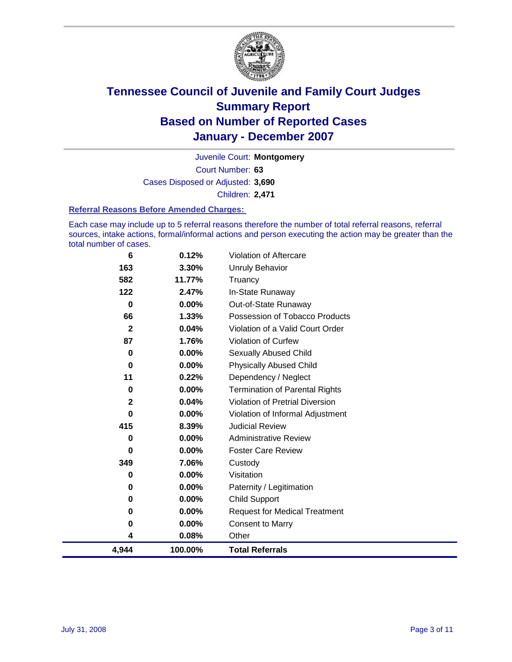

Court Number: **63** Juvenile Court: **Montgomery** Cases Disposed or Adjusted: **3,690** Children: **2,471**

#### **Referral Reasons Before Amended Charges:**

Each case may include up to 5 referral reasons therefore the number of total referral reasons, referral sources, intake actions, formal/informal actions and person executing the action may be greater than the total number of cases.

| 6           | 0.12%    | Violation of Aftercare                |
|-------------|----------|---------------------------------------|
| 163         | 3.30%    | <b>Unruly Behavior</b>                |
| 582         | 11.77%   | Truancy                               |
| 122         | 2.47%    | In-State Runaway                      |
| 0           | 0.00%    | Out-of-State Runaway                  |
| 66          | $1.33\%$ | Possession of Tobacco Products        |
| $\mathbf 2$ | 0.04%    | Violation of a Valid Court Order      |
| 87          | 1.76%    | Violation of Curfew                   |
| 0           | 0.00%    | <b>Sexually Abused Child</b>          |
| 0           | $0.00\%$ | <b>Physically Abused Child</b>        |
| 11          | 0.22%    | Dependency / Neglect                  |
| 0           | $0.00\%$ | <b>Termination of Parental Rights</b> |
| $\mathbf 2$ | 0.04%    | Violation of Pretrial Diversion       |
| 0           | $0.00\%$ | Violation of Informal Adjustment      |
| 415         | 8.39%    | <b>Judicial Review</b>                |
| 0           | $0.00\%$ | <b>Administrative Review</b>          |
| 0           | $0.00\%$ | <b>Foster Care Review</b>             |
| 349         | 7.06%    | Custody                               |
| 0           | $0.00\%$ | Visitation                            |
| 0           | $0.00\%$ | Paternity / Legitimation              |
| 0           | $0.00\%$ | <b>Child Support</b>                  |
| $\bf{0}$    | 0.00%    | <b>Request for Medical Treatment</b>  |
| 0           | 0.00%    | <b>Consent to Marry</b>               |
| 4           | 0.08%    | Other                                 |
| 4,944       | 100.00%  | <b>Total Referrals</b>                |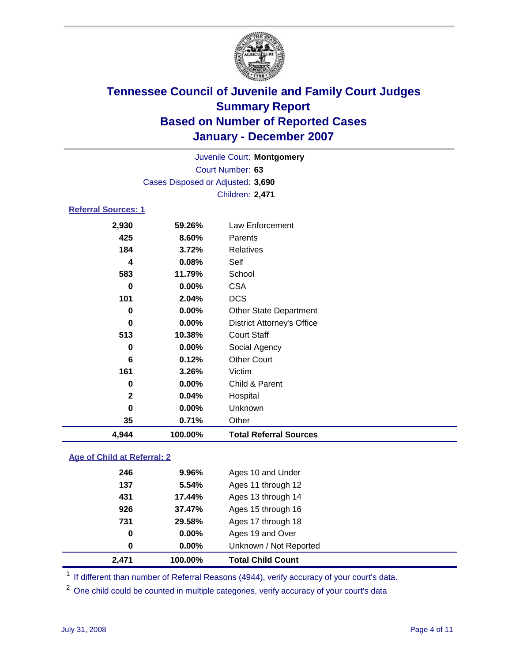

Court Number: **63** Juvenile Court: **Montgomery** Cases Disposed or Adjusted: **3,690** Children: **2,471**

### **Referral Sources: 1**

| 2,930       | 59.26%   | Law Enforcement                   |
|-------------|----------|-----------------------------------|
| 425         | 8.60%    | <b>Parents</b>                    |
| 184         | 3.72%    | <b>Relatives</b>                  |
| 4           | 0.08%    | Self                              |
| 583         | 11.79%   | School                            |
| 0           | 0.00%    | <b>CSA</b>                        |
| 101         | 2.04%    | <b>DCS</b>                        |
| 0           | $0.00\%$ | <b>Other State Department</b>     |
| 0           | $0.00\%$ | <b>District Attorney's Office</b> |
| 513         | 10.38%   | <b>Court Staff</b>                |
| 0           | $0.00\%$ | Social Agency                     |
| 6           | 0.12%    | <b>Other Court</b>                |
| 161         | 3.26%    | Victim                            |
| 0           | 0.00%    | Child & Parent                    |
| $\mathbf 2$ | 0.04%    | Hospital                          |
| $\bf{0}$    | 0.00%    | Unknown                           |
| 35          | 0.71%    | Other                             |
| 4,944       | 100.00%  | <b>Total Referral Sources</b>     |

### **Age of Child at Referral: 2**

| 2,471 | 100.00% | <b>Total Child Count</b> |
|-------|---------|--------------------------|
| 0     | 0.00%   | Unknown / Not Reported   |
| 0     | 0.00%   | Ages 19 and Over         |
| 731   | 29.58%  | Ages 17 through 18       |
| 926   | 37.47%  | Ages 15 through 16       |
| 431   | 17.44%  | Ages 13 through 14       |
| 137   | 5.54%   | Ages 11 through 12       |
| 246   | 9.96%   | Ages 10 and Under        |
|       |         |                          |

<sup>1</sup> If different than number of Referral Reasons (4944), verify accuracy of your court's data.

<sup>2</sup> One child could be counted in multiple categories, verify accuracy of your court's data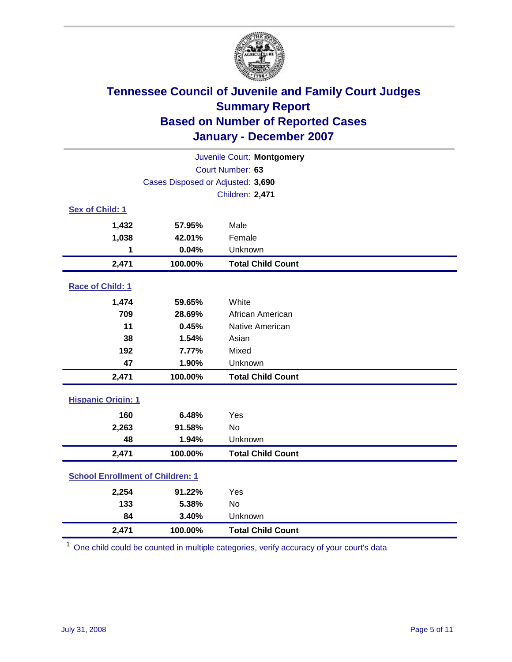

| Juvenile Court: Montgomery              |                                   |                          |  |  |
|-----------------------------------------|-----------------------------------|--------------------------|--|--|
| Court Number: 63                        |                                   |                          |  |  |
|                                         | Cases Disposed or Adjusted: 3,690 |                          |  |  |
|                                         |                                   | Children: 2,471          |  |  |
| Sex of Child: 1                         |                                   |                          |  |  |
| 1,432                                   | 57.95%                            | Male                     |  |  |
| 1,038                                   | 42.01%                            | Female                   |  |  |
| 1                                       | 0.04%                             | Unknown                  |  |  |
| 2,471                                   | 100.00%                           | <b>Total Child Count</b> |  |  |
| Race of Child: 1                        |                                   |                          |  |  |
| 1,474                                   | 59.65%                            | White                    |  |  |
| 709                                     | 28.69%                            | African American         |  |  |
| 11                                      | 0.45%                             | Native American          |  |  |
| 38                                      | 1.54%                             | Asian                    |  |  |
| 192                                     | 7.77%                             | Mixed                    |  |  |
| 47                                      | 1.90%                             | Unknown                  |  |  |
| 2,471                                   | 100.00%                           | <b>Total Child Count</b> |  |  |
| <b>Hispanic Origin: 1</b>               |                                   |                          |  |  |
| 160                                     | 6.48%                             | Yes                      |  |  |
| 2,263                                   | 91.58%                            | <b>No</b>                |  |  |
| 48                                      | 1.94%                             | Unknown                  |  |  |
| 2,471                                   | 100.00%                           | <b>Total Child Count</b> |  |  |
| <b>School Enrollment of Children: 1</b> |                                   |                          |  |  |
| 2,254                                   | 91.22%                            | Yes                      |  |  |
| 133                                     | 5.38%                             | <b>No</b>                |  |  |
| 84                                      | 3.40%                             | Unknown                  |  |  |
| 2,471                                   | 100.00%                           | <b>Total Child Count</b> |  |  |

 $1$  One child could be counted in multiple categories, verify accuracy of your court's data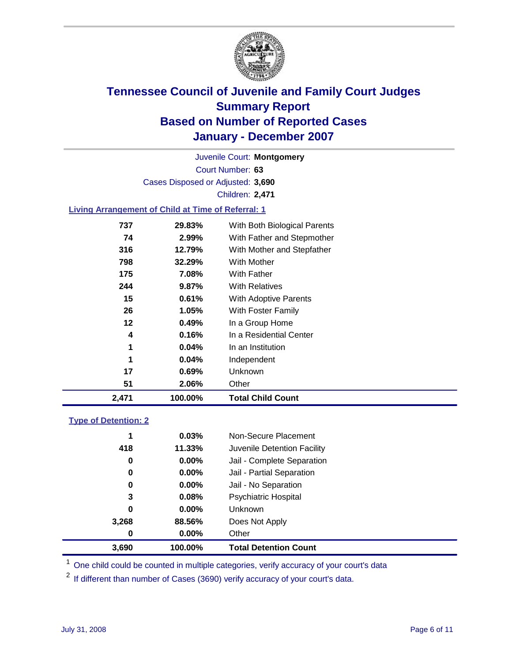

Court Number: **63** Juvenile Court: **Montgomery** Cases Disposed or Adjusted: **3,690** Children: **2,471**

### **Living Arrangement of Child at Time of Referral: 1**

| 2,471 | 100.00%  | <b>Total Child Count</b>     |
|-------|----------|------------------------------|
| 51    | 2.06%    | Other                        |
| 17    | 0.69%    | Unknown                      |
| 1     | $0.04\%$ | Independent                  |
| 1     | $0.04\%$ | In an Institution            |
| 4     | 0.16%    | In a Residential Center      |
| 12    | 0.49%    | In a Group Home              |
| 26    | $1.05\%$ | With Foster Family           |
| 15    | 0.61%    | With Adoptive Parents        |
| 244   | 9.87%    | <b>With Relatives</b>        |
| 175   | 7.08%    | With Father                  |
| 798   | 32.29%   | With Mother                  |
| 316   | 12.79%   | With Mother and Stepfather   |
| 74    | 2.99%    | With Father and Stepmother   |
| 737   | 29.83%   | With Both Biological Parents |

#### **Type of Detention: 2**

| 3.690 | 100.00%  | <b>Total Detention Count</b> |  |
|-------|----------|------------------------------|--|
| 0     | 0.00%    | Other                        |  |
| 3,268 | 88.56%   | Does Not Apply               |  |
| 0     | $0.00\%$ | <b>Unknown</b>               |  |
| 3     | 0.08%    | <b>Psychiatric Hospital</b>  |  |
| 0     | $0.00\%$ | Jail - No Separation         |  |
| 0     | $0.00\%$ | Jail - Partial Separation    |  |
| 0     | $0.00\%$ | Jail - Complete Separation   |  |
| 418   | 11.33%   | Juvenile Detention Facility  |  |
| 1     | 0.03%    | Non-Secure Placement         |  |
|       |          |                              |  |

<sup>1</sup> One child could be counted in multiple categories, verify accuracy of your court's data

<sup>2</sup> If different than number of Cases (3690) verify accuracy of your court's data.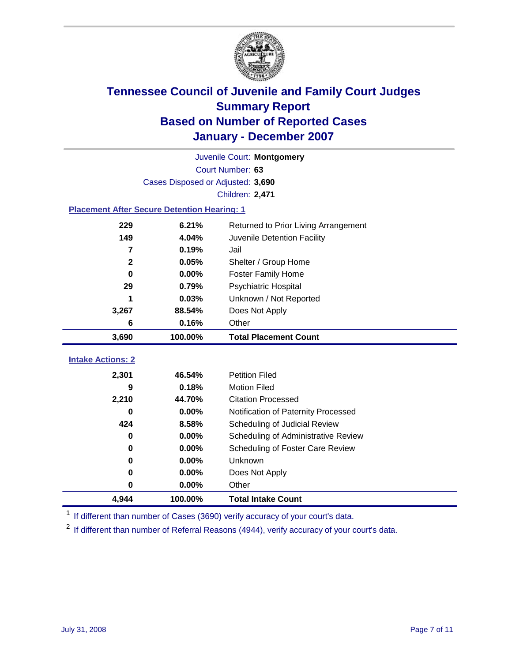

| Juvenile Court: Montgomery                           |                                   |                                     |  |  |  |  |
|------------------------------------------------------|-----------------------------------|-------------------------------------|--|--|--|--|
|                                                      | Court Number: 63                  |                                     |  |  |  |  |
|                                                      | Cases Disposed or Adjusted: 3,690 |                                     |  |  |  |  |
|                                                      |                                   | Children: 2,471                     |  |  |  |  |
| <b>Placement After Secure Detention Hearing: 1</b>   |                                   |                                     |  |  |  |  |
| 229<br>6.21%<br>Returned to Prior Living Arrangement |                                   |                                     |  |  |  |  |
| 149                                                  | 4.04%                             | Juvenile Detention Facility         |  |  |  |  |
| 7                                                    | 0.19%                             | Jail                                |  |  |  |  |
| $\mathbf{2}$                                         | 0.05%                             | Shelter / Group Home                |  |  |  |  |
| 0                                                    | 0.00%                             | <b>Foster Family Home</b>           |  |  |  |  |
| 29                                                   | 0.79%                             | <b>Psychiatric Hospital</b>         |  |  |  |  |
| 1                                                    | 0.03%                             | Unknown / Not Reported              |  |  |  |  |
| 3,267                                                | 88.54%                            | Does Not Apply                      |  |  |  |  |
| 6                                                    | 0.16%                             | Other                               |  |  |  |  |
| 3,690                                                | 100.00%                           | <b>Total Placement Count</b>        |  |  |  |  |
|                                                      |                                   |                                     |  |  |  |  |
|                                                      |                                   |                                     |  |  |  |  |
| <b>Intake Actions: 2</b><br>2,301                    | 46.54%                            | <b>Petition Filed</b>               |  |  |  |  |
| 9                                                    | 0.18%                             | <b>Motion Filed</b>                 |  |  |  |  |
| 2,210                                                | 44.70%                            | <b>Citation Processed</b>           |  |  |  |  |
| O                                                    | 0.00%                             | Notification of Paternity Processed |  |  |  |  |
| 424                                                  | 8.58%                             | Scheduling of Judicial Review       |  |  |  |  |
| 0                                                    | 0.00%                             | Scheduling of Administrative Review |  |  |  |  |
| 0                                                    | 0.00%                             | Scheduling of Foster Care Review    |  |  |  |  |
| 0                                                    | 0.00%                             | Unknown                             |  |  |  |  |
| 0                                                    | 0.00%                             | Does Not Apply                      |  |  |  |  |
| 0                                                    | 0.00%                             | Other                               |  |  |  |  |

<sup>1</sup> If different than number of Cases (3690) verify accuracy of your court's data.

<sup>2</sup> If different than number of Referral Reasons (4944), verify accuracy of your court's data.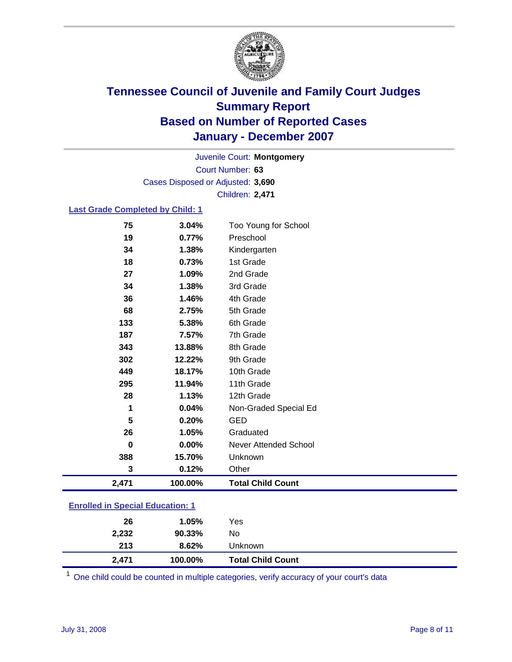

Court Number: **63** Juvenile Court: **Montgomery** Cases Disposed or Adjusted: **3,690** Children: **2,471**

### **Last Grade Completed by Child: 1**

| 75    | 3.04%   | Too Young for School     |
|-------|---------|--------------------------|
| 19    | 0.77%   | Preschool                |
| 34    | 1.38%   | Kindergarten             |
| 18    | 0.73%   | 1st Grade                |
| 27    | 1.09%   | 2nd Grade                |
| 34    | 1.38%   | 3rd Grade                |
| 36    | 1.46%   | 4th Grade                |
| 68    | 2.75%   | 5th Grade                |
| 133   | 5.38%   | 6th Grade                |
| 187   | 7.57%   | 7th Grade                |
| 343   | 13.88%  | 8th Grade                |
| 302   | 12.22%  | 9th Grade                |
| 449   | 18.17%  | 10th Grade               |
| 295   | 11.94%  | 11th Grade               |
| 28    | 1.13%   | 12th Grade               |
| 1     | 0.04%   | Non-Graded Special Ed    |
| 5     | 0.20%   | <b>GED</b>               |
| 26    | 1.05%   | Graduated                |
| 0     | 0.00%   | Never Attended School    |
| 388   | 15.70%  | Unknown                  |
| 3     | 0.12%   | Other                    |
| 2,471 | 100.00% | <b>Total Child Count</b> |

### **Enrolled in Special Education: 1**

| Unknown |                                                                 |
|---------|-----------------------------------------------------------------|
| No      |                                                                 |
| Yes     |                                                                 |
|         | 1.05%<br>90.33%<br>8.62%<br><b>Total Child Count</b><br>100.00% |

<sup>1</sup> One child could be counted in multiple categories, verify accuracy of your court's data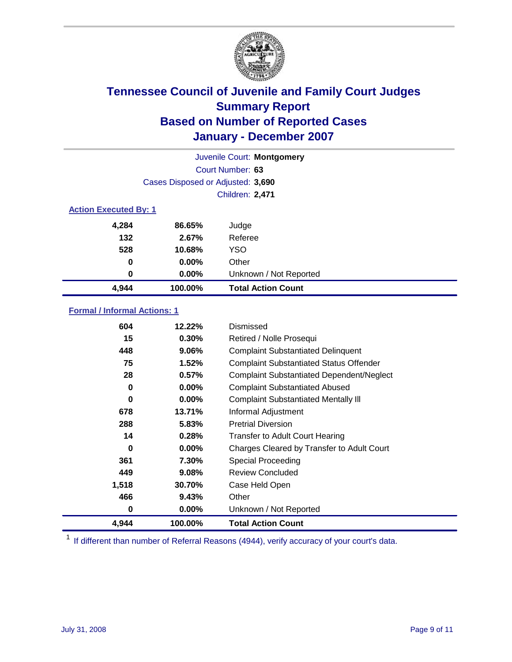

| Juvenile Court: Montgomery   |                                   |                           |  |  |
|------------------------------|-----------------------------------|---------------------------|--|--|
|                              | Court Number: 63                  |                           |  |  |
|                              | Cases Disposed or Adjusted: 3,690 |                           |  |  |
|                              | <b>Children: 2,471</b>            |                           |  |  |
| <b>Action Executed By: 1</b> |                                   |                           |  |  |
| 4,284                        | 86.65%                            | Judge                     |  |  |
| 132                          | 2.67%                             | Referee                   |  |  |
| 528                          | 10.68%                            | <b>YSO</b>                |  |  |
| 0                            | $0.00\%$                          | Other                     |  |  |
| $\bf{0}$                     | 0.00%                             | Unknown / Not Reported    |  |  |
| 4,944                        | 100.00%                           | <b>Total Action Count</b> |  |  |

### **Formal / Informal Actions: 1**

| 604   | 12.22%   | Dismissed                                        |
|-------|----------|--------------------------------------------------|
| 15    | $0.30\%$ | Retired / Nolle Prosequi                         |
| 448   | 9.06%    | <b>Complaint Substantiated Delinquent</b>        |
| 75    | 1.52%    | <b>Complaint Substantiated Status Offender</b>   |
| 28    | 0.57%    | <b>Complaint Substantiated Dependent/Neglect</b> |
| 0     | $0.00\%$ | <b>Complaint Substantiated Abused</b>            |
| 0     | $0.00\%$ | <b>Complaint Substantiated Mentally III</b>      |
| 678   | 13.71%   | Informal Adjustment                              |
| 288   | 5.83%    | <b>Pretrial Diversion</b>                        |
| 14    | 0.28%    | <b>Transfer to Adult Court Hearing</b>           |
| 0     | $0.00\%$ | Charges Cleared by Transfer to Adult Court       |
| 361   | 7.30%    | Special Proceeding                               |
| 449   | 9.08%    | <b>Review Concluded</b>                          |
| 1,518 | 30.70%   | Case Held Open                                   |
| 466   | 9.43%    | Other                                            |
| 0     | $0.00\%$ | Unknown / Not Reported                           |
| 4,944 | 100.00%  | <b>Total Action Count</b>                        |

<sup>1</sup> If different than number of Referral Reasons (4944), verify accuracy of your court's data.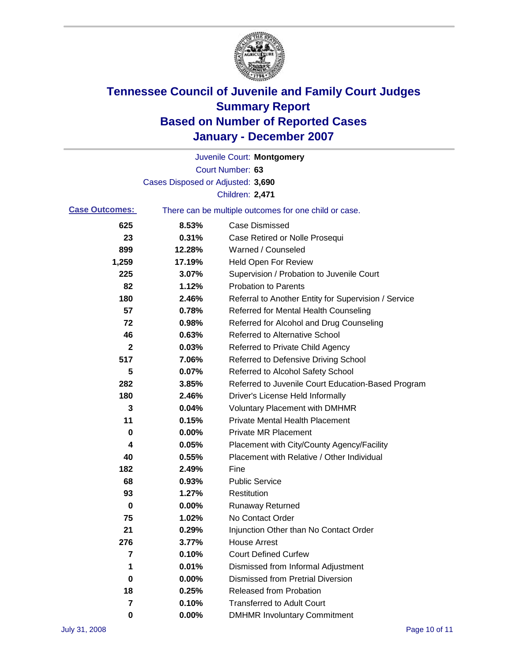

|                       |                                   | Juvenile Court: Montgomery                            |
|-----------------------|-----------------------------------|-------------------------------------------------------|
|                       |                                   | Court Number: 63                                      |
|                       | Cases Disposed or Adjusted: 3,690 |                                                       |
|                       |                                   | Children: 2,471                                       |
| <b>Case Outcomes:</b> |                                   | There can be multiple outcomes for one child or case. |
| 625                   | 8.53%                             | <b>Case Dismissed</b>                                 |
| 23                    | 0.31%                             | Case Retired or Nolle Prosequi                        |
| 899                   | 12.28%                            | Warned / Counseled                                    |
| 1,259                 | 17.19%                            | <b>Held Open For Review</b>                           |
| 225                   | 3.07%                             | Supervision / Probation to Juvenile Court             |
| 82                    | 1.12%                             | <b>Probation to Parents</b>                           |
| 180                   | 2.46%                             | Referral to Another Entity for Supervision / Service  |
| 57                    | 0.78%                             | Referred for Mental Health Counseling                 |
| 72                    | 0.98%                             | Referred for Alcohol and Drug Counseling              |
| 46                    | 0.63%                             | <b>Referred to Alternative School</b>                 |
| $\mathbf 2$           | 0.03%                             | Referred to Private Child Agency                      |
| 517                   | 7.06%                             | Referred to Defensive Driving School                  |
| 5                     | 0.07%                             | Referred to Alcohol Safety School                     |
| 282                   | 3.85%                             | Referred to Juvenile Court Education-Based Program    |
| 180                   | 2.46%                             | Driver's License Held Informally                      |
| 3                     | 0.04%                             | <b>Voluntary Placement with DMHMR</b>                 |
| 11                    | 0.15%                             | <b>Private Mental Health Placement</b>                |
| 0                     | 0.00%                             | Private MR Placement                                  |
| 4                     | 0.05%                             | Placement with City/County Agency/Facility            |
| 40                    | 0.55%                             | Placement with Relative / Other Individual            |
| 182                   | 2.49%                             | Fine                                                  |
| 68                    | 0.93%                             | <b>Public Service</b>                                 |
| 93                    | 1.27%                             | Restitution                                           |
| 0                     | 0.00%                             | <b>Runaway Returned</b>                               |
| 75                    | 1.02%                             | No Contact Order                                      |
| 21                    | 0.29%                             | Injunction Other than No Contact Order                |
| 276                   | 3.77%                             | <b>House Arrest</b>                                   |
| 7                     | 0.10%                             | <b>Court Defined Curfew</b>                           |
| 1                     | 0.01%                             | Dismissed from Informal Adjustment                    |
| 0                     | 0.00%                             | <b>Dismissed from Pretrial Diversion</b>              |
| 18                    | 0.25%                             | <b>Released from Probation</b>                        |
| 7                     | 0.10%                             | <b>Transferred to Adult Court</b>                     |
| 0                     | 0.00%                             | <b>DMHMR Involuntary Commitment</b>                   |